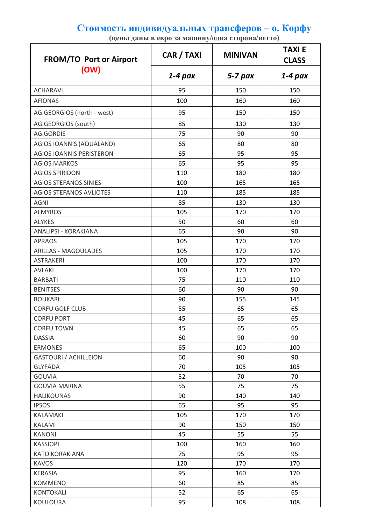## **Стоимость индивидуальных трансферов – о. Корфу**

**(цены даны в евро за машину/одна сторона/нетто)**

| <b>FROM/TO Port or Airport</b><br>(OW) | CAR / TAXI | <b>MINIVAN</b> | <b>TAXIE</b><br><b>CLASS</b> |
|----------------------------------------|------------|----------------|------------------------------|
|                                        | $1-4$ pax  | $5 - 7$ pax    | 1-4 pax                      |
| <b>ACHARAVI</b>                        | 95         | 150            | 150                          |
| <b>AFIONAS</b>                         | 100        | 160            | 160                          |
| AG.GEORGIOS (north - west)             | 95         | 150            | 150                          |
| AG.GEORGIOS (south)                    | 85         | 130            | 130                          |
| <b>AG.GORDIS</b>                       | 75         | 90             | 90                           |
| AGIOS IOANNIS (AQUALAND)               | 65         | 80             | 80                           |
| <b>AGIOS IOANNIS PERISTERON</b>        | 65         | 95             | 95                           |
| <b>AGIOS MARKOS</b>                    | 65         | 95             | 95                           |
| <b>AGIOS SPIRIDON</b>                  | 110        | 180            | 180                          |
| <b>AGIOS STEFANOS SINIES</b>           | 100        | 165            | 165                          |
| AGIOS STEFANOS AVLIOTES                | 110        | 185            | 185                          |
| <b>AGNI</b>                            | 85         | 130            | 130                          |
| <b>ALMYROS</b>                         | 105        | 170            | 170                          |
| <b>ALYKES</b>                          | 50         | 60             | 60                           |
| ANALIPSI - KORAKIANA                   | 65         | 90             | 90                           |
| <b>APRAOS</b>                          | 105        | 170            | 170                          |
| <b>ARILLAS - MAGOULADES</b>            | 105        | 170            | 170                          |
| <b>ASTRAKERI</b>                       | 100        | 170            | 170                          |
| <b>AVLAKI</b>                          | 100        | 170            | 170                          |
| <b>BARBATI</b>                         | 75         | 110            | 110                          |
| <b>BENITSES</b>                        | 60         | 90             | 90                           |
| <b>BOUKARI</b>                         | 90         | 155            | 145                          |
| <b>CORFU GOLF CLUB</b>                 | 55         | 65             | 65                           |
| <b>CORFU PORT</b>                      | 45         | 65             | 65                           |
| <b>CORFU TOWN</b>                      | 45         | 65             | 65                           |
| <b>DASSIA</b>                          | 60         | 90             | 90                           |
| <b>ERMONES</b>                         | 65         | 100            | 100                          |
| <b>GASTOURI / ACHILLEION</b>           | 60         | 90             | 90                           |
| <b>GLYFADA</b>                         | 70         | 105            | 105                          |
| <b>GOUVIA</b>                          | 52         | 70             | 70                           |
| <b>GOUVIA MARINA</b>                   | 55         | 75             | 75                           |
| <b>HALIKOUNAS</b>                      | 90         | 140            | 140                          |
| <b>IPSOS</b>                           | 65         | 95             | 95                           |
| KALAMAKI                               | 105        | 170            | 170                          |
| KALAMI                                 | 90         | 150            | 150                          |
| <b>KANONI</b>                          | 45         | 55             | 55                           |
| <b>KASSIOPI</b>                        | 100        | 160            | 160                          |
| <b>KATO KORAKIANA</b>                  | 75         | 95             | 95                           |
| <b>KAVOS</b>                           | 120        | 170            | 170                          |
| <b>KERASIA</b>                         | 95         | 160            | 170                          |
| <b>KOMMENO</b>                         | 60         | 85             | 85<br>65                     |
| <b>KONTOKALI</b><br>KOULOURA           | 52<br>95   | 65<br>108      | 108                          |
|                                        |            |                |                              |